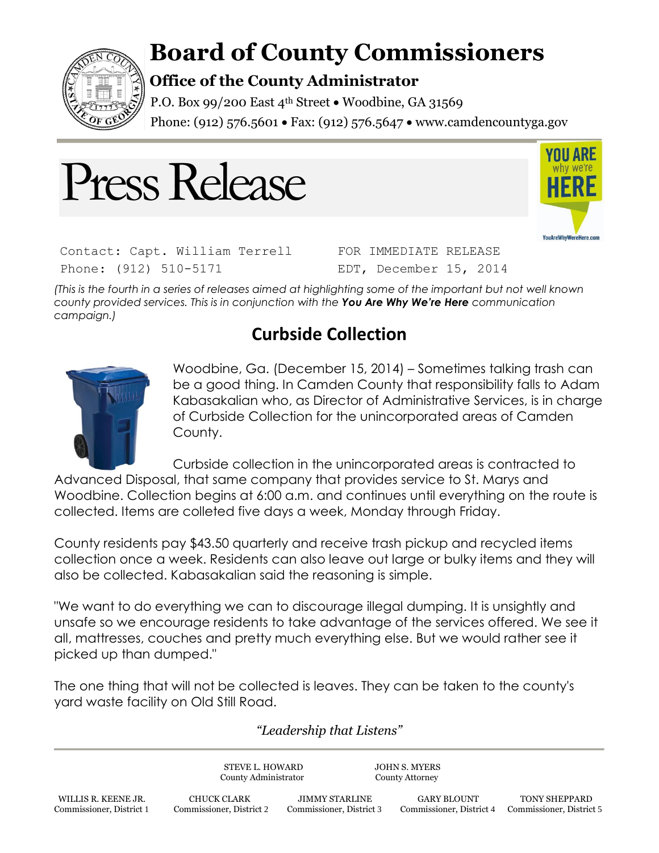

## **Board of County Commissioners**

## **Office of the County Administrator**

P.O. Box 99/200 East  $4<sup>th</sup>$  Street  $\bullet$  Woodbine, GA 31569 Phone: (912) 576.5601 • Fax: (912) 576.5647 • www.camdencountyga.gov





Contact: Capt. William Terrell Phone: (912) 510-5171

FOR IMMEDIATE RELEASE EDT, December 15, 2014

*(This is the fourth in a series of releases aimed at highlighting some of the important but not well known county provided services. This is in conjunction with the You Are Why We're Here communication campaign.)*

## **Curbside Collection**



Woodbine, Ga. (December 15, 2014) – Sometimes talking trash can be a good thing. In Camden County that responsibility falls to Adam Kabasakalian who, as Director of Administrative Services, is in charge of Curbside Collection for the unincorporated areas of Camden County.

Curbside collection in the unincorporated areas is contracted to

Advanced Disposal, that same company that provides service to St. Marys and Woodbine. Collection begins at 6:00 a.m. and continues until everything on the route is collected. Items are colleted five days a week, Monday through Friday.

County residents pay \$43.50 quarterly and receive trash pickup and recycled items collection once a week. Residents can also leave out large or bulky items and they will also be collected. Kabasakalian said the reasoning is simple.

"We want to do everything we can to discourage illegal dumping. It is unsightly and unsafe so we encourage residents to take advantage of the services offered. We see it all, mattresses, couches and pretty much everything else. But we would rather see it picked up than dumped."

The one thing that will not be collected is leaves. They can be taken to the county's yard waste facility on Old Still Road.

*"Leadership that Listens"*

STEVE L. HOWARD JOHN S. MYERS County Administrator County Attorney